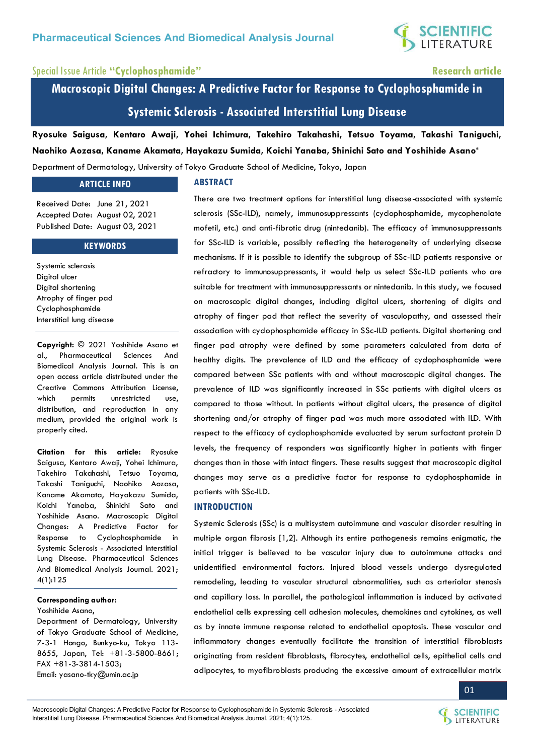

# Special Issue Article **"Cyclophosphamide" Research article**

**Macroscopic Digital Changes: A Predictive Factor for Response to Cyclophosphamide in Systemic Sclerosis - Associated Interstitial Lung Disease**

**Ryosuke Saigusa, Kentaro Awaji, Yohei Ichimura, Takehiro Takahashi, Tetsuo Toyama, Takashi Taniguchi, Naohiko Aozasa, Kaname Akamata, Hayakazu Sumida, Koichi Yanaba, Shinichi Sato and Yoshihide Asano\*** Department of Dermatology, University of Tokyo Graduate School of Medicine, Tokyo, Japan

#### **ARTICLE INFO**

Received Date: June 21, 2021 Accepted Date: August 02, 2021 Published Date: August 03, 2021

#### **KEYWORDS**

Systemic sclerosis Digital ulcer Digital shortening Atrophy of finger pad Cyclophosphamide Interstitial lung disease

**Copyright:** © 2021 Yoshihide Asano et al., Pharmaceutical Sciences And Biomedical Analysis Journal. This is an open access article distributed under the Creative Commons Attribution License, which permits unrestricted use, distribution, and reproduction in any medium, provided the original work is properly cited.

**Citation for this article:** Ryosuke Saigusa, Kentaro Awaji, Yohei Ichimura, Takehiro Takahashi, Tetsuo Toyama, Takashi Taniguchi, Naohiko Aozasa, Kaname Akamata, Hayakazu Sumida, Koichi Yanaba, Shinichi Sato and Yoshihide Asano. Macroscopic Digital Changes: A Predictive Factor for Response to Cyclophosphamide in Systemic Sclerosis - Associated Interstitial Lung Disease. Pharmaceutical Sciences And Biomedical Analysis Journal. 2021; 4(1):125

## **Corresponding author:**

Yoshihide Asano,

Department of Dermatology, University of Tokyo Graduate School of Medicine, 7-3-1 Hongo, Bunkyo-ku, Tokyo 113- 8655, Japan, Tel: +81-3-5800-8661; FAX +81-3-3814-1503; Email[: yasano-tky@umin.ac.jp](mailto:yasano-tky@umin.ac.jp) 

#### **ABSTRACT**

There are two treatment options for interstitial lung disease-associated with systemic sclerosis (SSc-ILD), namely, immunosuppressants (cyclophosphamide, mycophenolate mofetil, etc.) and anti-fibrotic drug (nintedanib). The efficacy of immunosuppressants for SSc-ILD is variable, possibly reflecting the heterogeneity of underlying disease mechanisms. If it is possible to identify the subgroup of SSc-ILD patients responsive or refractory to immunosuppressants, it would help us select SSc-ILD patients who are suitable for treatment with immunosuppressants or nintedanib. In this study, we focused on macroscopic digital changes, including digital ulcers, shortening of digits and atrophy of finger pad that reflect the severity of vasculopathy, and assessed their association with cyclophosphamide efficacy in SSc-ILD patients. Digital shortening and finger pad atrophy were defined by some parameters calculated from data of healthy digits. The prevalence of ILD and the efficacy of cyclophosphamide were compared between SSc patients with and without macroscopic digital changes. The prevalence of ILD was significantly increased in SSc patients with digital ulcers as compared to those without. In patients without digital ulcers, the presence of digital shortening and/or atrophy of finger pad was much more associated with ILD. With respect to the efficacy of cyclophosphamide evaluated by serum surfactant protein D levels, the frequency of responders was significantly higher in patients with finger changes than in those with intact fingers. These results suggest that macroscopic digital changes may serve as a predictive factor for response to cyclophosphamide in patients with SSc-ILD.

### **INTRODUCTION**

Systemic Sclerosis (SSc) is a multisystem autoimmune and vascular disorder resulting in multiple organ fibrosis [1,2]. Although its entire pathogenesis remains enigmatic, the initial trigger is believed to be vascular injury due to autoimmune attacks and unidentified environmental factors. Injured blood vessels undergo dysregulated remodeling, leading to vascular structural abnormalities, such as arteriolar stenosis and capillary loss. In parallel, the pathological inflammation is induced by activated endothelial cells expressing cell adhesion molecules, chemokines and cytokines, as well as by innate immune response related to endothelial apoptosis. These vascular and inflammatory changes eventually facilitate the transition of interstitial fibroblasts originating from resident fibroblasts, fibrocytes, endothelial cells, epithelial cells and adipocytes, to myofibroblasts producing the excessive amount of extracellular matrix



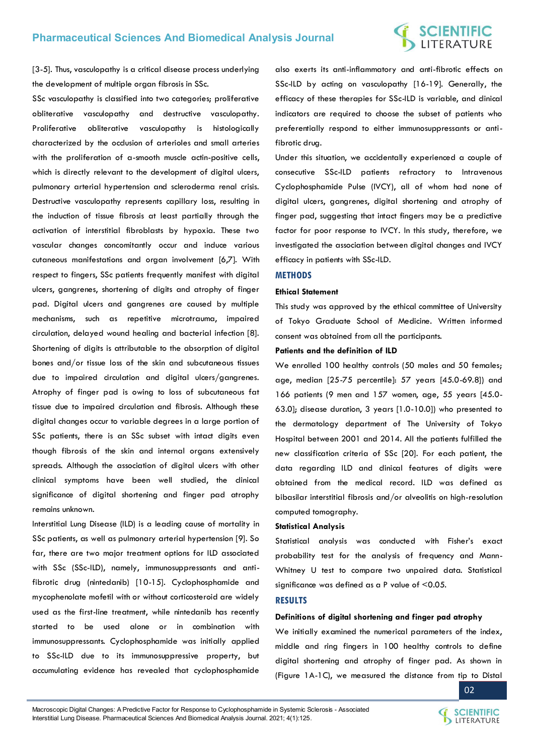# **SCIENTIFIC**<br>LITERATURE

[3-5]. Thus, vasculopathy is a critical disease process underlying the development of multiple organ fibrosis in SSc.

SSc vasculopathy is classified into two categories; proliferative obliterative vasculopathy and destructive vasculopathy. Proliferative obliterative vasculopathy is histologically characterized by the occlusion of arterioles and small arteries with the proliferation of a-smooth muscle actin-positive cells, which is directly relevant to the development of digital ulcers, pulmonary arterial hypertension and scleroderma renal crisis. Destructive vasculopathy represents capillary loss, resulting in the induction of tissue fibrosis at least partially through the activation of interstitial fibroblasts by hypoxia. These two vascular changes concomitantly occur and induce various cutaneous manifestations and organ involvement [6,7]. With respect to fingers, SSc patients frequently manifest with digital ulcers, gangrenes, shortening of digits and atrophy of finger pad. Digital ulcers and gangrenes are caused by multiple mechanisms, such as repetitive microtrauma, impaired circulation, delayed wound healing and bacterial infection [8]. Shortening of digits is attributable to the absorption of digital bones and/or tissue loss of the skin and subcutaneous tissues due to impaired circulation and digital ulcers/gangrenes. Atrophy of finger pad is owing to loss of subcutaneous fat tissue due to impaired circulation and fibrosis. Although these digital changes occur to variable degrees in a large portion of SSc patients, there is an SSc subset with intact digits even though fibrosis of the skin and internal organs extensively spreads. Although the association of digital ulcers with other clinical symptoms have been well studied, the clinical significance of digital shortening and finger pad atrophy remains unknown.

Interstitial Lung Disease (ILD) is a leading cause of mortality in SSc patients, as well as pulmonary arterial hypertension [9]. So far, there are two major treatment options for ILD associated with SSc (SSc-ILD), namely, immunosuppressants and antifibrotic drug (nintedanib) [10-15]. Cyclophosphamide and mycophenolate mofetil with or without corticosteroid are widely used as the first-line treatment, while nintedanib has recently started to be used alone or in combination with immunosuppressants. Cyclophosphamide was initially applied to SSc-ILD due to its immunosuppressive property, but accumulating evidence has revealed that cyclophosphamide also exerts its anti-inflammatory and anti-fibrotic effects on SSc-ILD by acting on vasculopathy [16-19]. Generally, the efficacy of these therapies for SSc-ILD is variable, and clinical indicators are required to choose the subset of patients who preferentially respond to either immunosuppressants or antifibrotic drug.

Under this situation, we accidentally experienced a couple of consecutive SSc-ILD patients refractory to Intravenous Cyclophosphamide Pulse (IVCY), all of whom had none of digital ulcers, gangrenes, digital shortening and atrophy of finger pad, suggesting that intact fingers may be a predictive factor for poor response to IVCY. In this study, therefore, we investigated the association between digital changes and IVCY efficacy in patients with SSc-ILD.

#### **METHODS**

#### **Ethical Statement**

This study was approved by the ethical committee of University of Tokyo Graduate School of Medicine. Written informed consent was obtained from all the participants.

### **Patients and the definition of ILD**

We enrolled 100 healthy controls (50 males and 50 females; age, median [25-75 percentile]: 57 years [45.0-69.8]) and 166 patients (9 men and 157 women, age, 55 years [45.0- 63.0]; disease duration, 3 years [1.0-10.0]) who presented to the dermatology department of The University of Tokyo Hospital between 2001 and 2014. All the patients fulfilled the new classification criteria of SSc [20]. For each patient, the data regarding ILD and clinical features of digits were obtained from the medical record. ILD was defined as bibasilar interstitial fibrosis and/or alveolitis on high-resolution computed tomography.

#### **Statistical Analysis**

Statistical analysis was conducted with Fisher's exact probability test for the analysis of frequency and Mann-Whitney U test to compare two unpaired data. Statistical significance was defined as a P value of <0.05.

#### **RESULTS**

#### **Definitions of digital shortening and finger pad atrophy**

We initially examined the numerical parameters of the index, middle and ring fingers in 100 healthy controls to define digital shortening and atrophy of finger pad. As shown in (Figure 1A-1C), we measured the distance from tip to Distal

02

Macroscopic Digital Changes: A Predictive Factor for Response to Cyclophosphamide in Systemic Sclerosis - Associated Interstitial Lung Disease. Pharmaceutical Sciences And Biomedical Analysis Journal. 2021; 4(1):125.

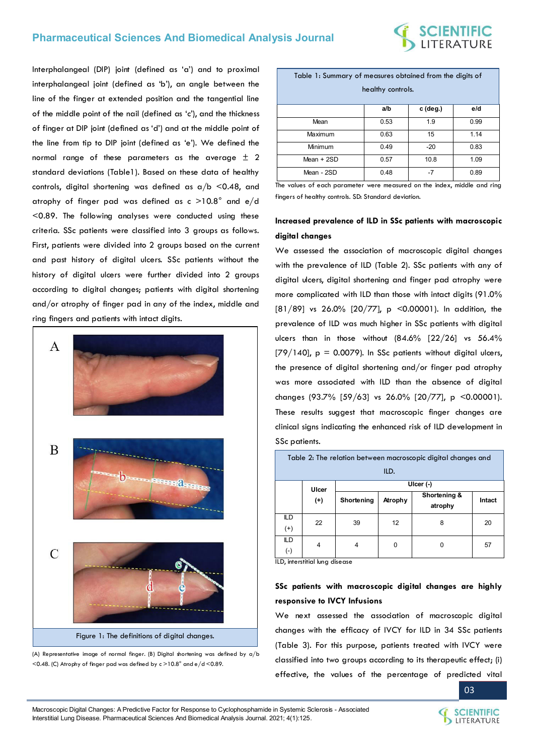

Interphalangeal (DIP) joint (defined as 'a') and to proximal interphalangeal joint (defined as 'b'), an angle between the line of the finger at extended position and the tangential line of the middle point of the nail (defined as 'c'), and the thickness of finger at DIP joint (defined as 'd') and at the middle point of the line from tip to DIP joint (defined as 'e'). We defined the normal range of these parameters as the average  $\pm$  2 standard deviations (Table1). Based on these data of healthy controls, digital shortening was defined as  $a/b < 0.48$ , and atrophy of finger pad was defined as c >10.8° and e/d <0.89. The following analyses were conducted using these criteria. SSc patients were classified into 3 groups as follows. First, patients were divided into 2 groups based on the current and past history of digital ulcers. SSc patients without the history of digital ulcers were further divided into 2 groups according to digital changes; patients with digital shortening and/or atrophy of finger pad in any of the index, middle and ring fingers and patients with intact digits.





| Table 1: Summary of measures obtained from the digits of<br>healthy controls. |      |            |      |  |  |  |
|-------------------------------------------------------------------------------|------|------------|------|--|--|--|
|                                                                               | a/b  | $c$ (deg.) | e/d  |  |  |  |
| Mean                                                                          | 0.53 | 1.9        | 0.99 |  |  |  |
| Maximum                                                                       | 0.63 | 15         | 1.14 |  |  |  |
| Minimum                                                                       | 0.49 | $-20$      | 0.83 |  |  |  |
| Mean $+2SD$                                                                   | 0.57 | 10.8       | 1.09 |  |  |  |
| Mean - 2SD                                                                    | 0.48 | -7         | 0.89 |  |  |  |

The values of each parameter were measured on the index, middle and ring fingers of healthy controls. SD: Standard deviation.

# **Increased prevalence of ILD in SSc patients with macroscopic digital changes**

We assessed the association of macroscopic digital changes with the prevalence of ILD (Table 2). SSc patients with any of digital ulcers, digital shortening and finger pad atrophy were more complicated with ILD than those with intact digits (91.0% [81/89] vs 26.0% [20/77], p <0.00001). In addition, the prevalence of ILD was much higher in SSc patients with digital ulcers than in those without  $(84.6\%$   $[22/26]$  vs  $56.4\%$  $[79/140]$ , p = 0.0079). In SSc patients without digital ulcers, the presence of digital shortening and/or finger pad atrophy was more associated with ILD than the absence of digital changes (93.7% [59/63] vs 26.0% [20/77], p <0.00001). These results suggest that macroscopic finger changes are clinical signs indicating the enhanced risk of ILD development in SSc patients.

| Table 2: The relation between macroscopic digital changes and |                   |             |         |                         |        |  |  |  |  |  |
|---------------------------------------------------------------|-------------------|-------------|---------|-------------------------|--------|--|--|--|--|--|
| ILD.                                                          |                   |             |         |                         |        |  |  |  |  |  |
|                                                               | Ulcer<br>$^{(+)}$ | Ulcer $(-)$ |         |                         |        |  |  |  |  |  |
|                                                               |                   | Shortening  | Atrophy | Shortening &<br>atrophy | Intact |  |  |  |  |  |
| ILD<br>$(+)$                                                  | 22                | 39          | 12      | 8                       | 20     |  |  |  |  |  |
| ILD<br>(-)                                                    | 4                 | 4           | 0       | 0                       | 57     |  |  |  |  |  |

ILD, interstitial lung disease

# **SSc patients with macroscopic digital changes are highly responsive to IVCY Infusions**

We next assessed the association of macroscopic digital changes with the efficacy of IVCY for ILD in 34 SSc patients (Table 3). For this purpose, patients treated with IVCY were classified into two groups according to its therapeutic effect; (i) effective, the values of the percentage of predicted vital

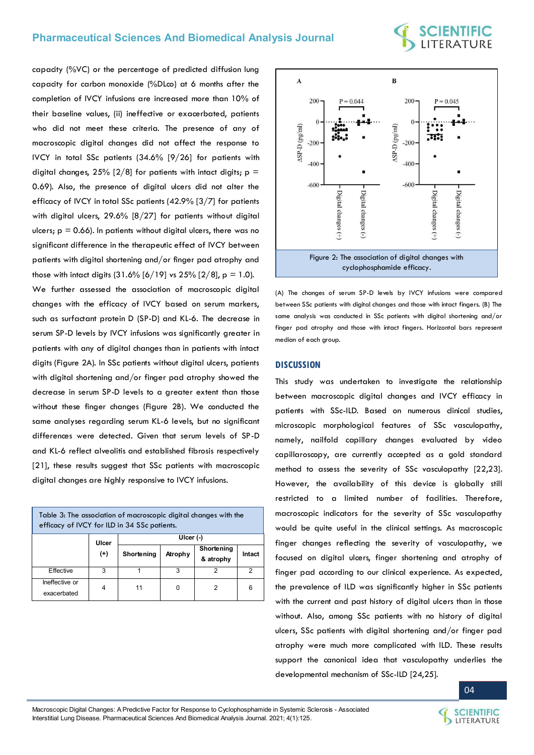capacity (%VC) or the percentage of predicted diffusion lung capacity for carbon monoxide (%DLco) at 6 months after the completion of IVCY infusions are increased more than 10% of their baseline values, (ii) ineffective or exacerbated, patients who did not meet these criteria. The presence of any of macroscopic digital changes did not affect the response to IVCY in total SSc patients (34.6% [9/26] for patients with digital changes, 25% [2/8] for patients with intact digits;  $p =$ 0.69). Also, the presence of digital ulcers did not alter the efficacy of IVCY in total SSc patients (42.9% [3/7] for patients with digital ulcers, 29.6% [8/27] for patients without digital ulcers;  $p = 0.66$ ). In patients without digital ulcers, there was no significant difference in the therapeutic effect of IVCY between patients with digital shortening and/or finger pad atrophy and those with intact digits  $(31.6\% [6/19] \text{ vs } 25\% [2/8], p = 1.0)$ .

We further assessed the association of macroscopic digital changes with the efficacy of IVCY based on serum markers, such as surfactant protein D (SP-D) and KL-6. The decrease in serum SP-D levels by IVCY infusions was significantly greater in patients with any of digital changes than in patients with intact digits (Figure 2A). In SSc patients without digital ulcers, patients with digital shortening and/or finger pad atrophy showed the decrease in serum SP-D levels to a greater extent than those without these finger changes (Figure 2B). We conducted the same analyses regarding serum KL-6 levels, but no significant differences were detected. Given that serum levels of SP-D and KL-6 reflect alveolitis and established fibrosis respectively [21], these results suggest that SSc patients with macroscopic digital changes are highly responsive to IVCY infusions.

| Table 3: The association of macroscopic digital changes with the<br>efficacy of IVCY for ILD in 34 SSc patients. |          |            |             |                         |        |  |  |  |
|------------------------------------------------------------------------------------------------------------------|----------|------------|-------------|-------------------------|--------|--|--|--|
|                                                                                                                  | Ulcer    |            | UIcer $(-)$ |                         |        |  |  |  |
|                                                                                                                  | $^{(+)}$ | Shortening | Atrophy     | Shortening<br>& atrophy | Intact |  |  |  |
| Effective                                                                                                        | з        |            | 3           |                         | 2      |  |  |  |
| Ineffective or<br>exacerbated                                                                                    | 4        | 11         | O           |                         | 6      |  |  |  |



(A) The changes of serum SP-D levels by IVCY infusions were compared between SSc patients with digital changes and those with intact fingers. (B) The same analysis was conducted in SSc patients with digital shortening and/or finger pad atrophy and those with intact fingers. Horizontal bars represent median of each group.

#### **DISCUSSION**

This study was undertaken to investigate the relationship between macroscopic digital changes and IVCY efficacy in patients with SSc-ILD. Based on numerous clinical studies, microscopic morphological features of SSc vasculopathy, namely, nailfold capillary changes evaluated by video capillaroscopy, are currently accepted as a gold standard method to assess the severity of SSc vasculopathy [22,23]. However, the availability of this device is globally still restricted to a limited number of facilities. Therefore, macroscopic indicators for the severity of SSc vasculopathy would be quite useful in the clinical settings. As macroscopic finger changes reflecting the severity of vasculopathy, we focused on digital ulcers, finger shortening and atrophy of finger pad according to our clinical experience. As expected, the prevalence of ILD was significantly higher in SSc patients with the current and past history of digital ulcers than in those without. Also, among SSc patients with no history of digital ulcers, SSc patients with digital shortening and/or finger pad atrophy were much more complicated with ILD. These results support the canonical idea that vasculopathy underlies the developmental mechanism of SSc-ILD [24,25].

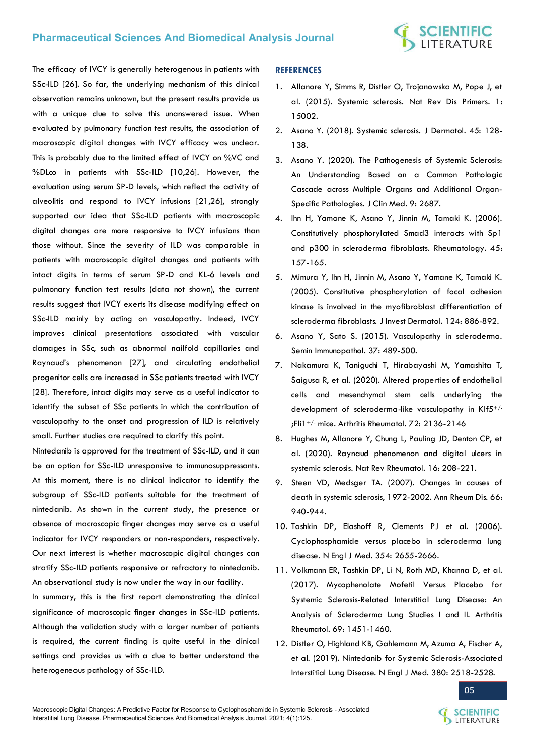

The efficacy of IVCY is generally heterogenous in patients with SSc-ILD [26]. So far, the underlying mechanism of this clinical observation remains unknown, but the present results provide us with a unique clue to solve this unanswered issue. When evaluated by pulmonary function test results, the association of macroscopic digital changes with IVCY efficacy was unclear. This is probably due to the limited effect of IVCY on %VC and %DLco in patients with SSc-ILD [10,26]. However, the evaluation using serum SP-D levels, which reflect the activity of alveolitis and respond to IVCY infusions [21,26], strongly supported our idea that SSc-ILD patients with macroscopic digital changes are more responsive to IVCY infusions than those without. Since the severity of ILD was comparable in patients with macroscopic digital changes and patients with intact digits in terms of serum SP-D and KL-6 levels and pulmonary function test results (data not shown), the current results suggest that IVCY exerts its disease modifying effect on SSc-ILD mainly by acting on vasculopathy. Indeed, IVCY improves clinical presentations associated with vascular damages in SSc, such as abnormal nailfold capillaries and Raynaud's phenomenon [27], and circulating endothelial progenitor cells are increased in SSc patients treated with IVCY [28]. Therefore, intact digits may serve as a useful indicator to identify the subset of SSc patients in which the contribution of vasculopathy to the onset and progression of ILD is relatively small. Further studies are required to clarify this point.

Nintedanib is approved for the treatment of SSc-ILD, and it can be an option for SSc-ILD unresponsive to immunosuppressants. At this moment, there is no clinical indicator to identify the subgroup of SSc-ILD patients suitable for the treatment of nintedanib. As shown in the current study, the presence or absence of macroscopic finger changes may serve as a useful indicator for IVCY responders or non-responders, respectively. Our next interest is whether macroscopic digital changes can stratify SSc-ILD patients responsive or refractory to nintedanib. An observational study is now under the way in our facility.

In summary, this is the first report demonstrating the clinical significance of macroscopic finger changes in SSc-ILD patients. Although the validation study with a larger number of patients is required, the current finding is quite useful in the clinical settings and provides us with a clue to better understand the heterogeneous pathology of SSc-ILD.

#### **REFERENCES**

- 1. [Allanore Y, Simms R, Distler O, Trojanowska M, Pope J, et](https://pubmed.ncbi.nlm.nih.gov/27189141/)  [al. \(2015\). Systemic sclerosis. Nat Rev Dis Primers. 1:](https://pubmed.ncbi.nlm.nih.gov/27189141/)  [15002.](https://pubmed.ncbi.nlm.nih.gov/27189141/)
- 2. [Asano Y. \(2018\). Systemic sclerosis. J Dermatol. 45: 128-](https://pubmed.ncbi.nlm.nih.gov/29226387/) [138.](https://pubmed.ncbi.nlm.nih.gov/29226387/)
- 3. [Asano Y. \(2020\). The Pathogenesis of Systemic Sclerosis:](https://pubmed.ncbi.nlm.nih.gov/32825112/)  [An Understanding Based on a Common Pathologic](https://pubmed.ncbi.nlm.nih.gov/32825112/)  [Cascade across Multiple Organs and Additional Organ-](https://pubmed.ncbi.nlm.nih.gov/32825112/)[Specific Pathologies. J Clin Med. 9: 2687.](https://pubmed.ncbi.nlm.nih.gov/32825112/)
- 4. [Ihn H, Yamane K, Asano Y, Jinnin M, Tamaki K. \(2006\).](https://academic.oup.com/rheumatology/article/45/2/157/1784455) [Constitutively phosphorylated Smad3 interacts with Sp1](https://academic.oup.com/rheumatology/article/45/2/157/1784455)  [and p300 in scleroderma fibroblasts. Rheumatology. 45:](https://academic.oup.com/rheumatology/article/45/2/157/1784455)  [157-165.](https://academic.oup.com/rheumatology/article/45/2/157/1784455)
- 5. [Mimura Y, Ihn H, Jinnin M, Asano Y, Yamane K, Tamaki K.](https://pubmed.ncbi.nlm.nih.gov/15854026/) [\(2005\). Constitutive phosphorylation of focal adhesion](https://pubmed.ncbi.nlm.nih.gov/15854026/)  [kinase is involved in the myofibroblast differentiation of](https://pubmed.ncbi.nlm.nih.gov/15854026/) [scleroderma fibroblasts. J Invest Dermatol. 124: 886-892.](https://pubmed.ncbi.nlm.nih.gov/15854026/)
- 6. [Asano Y, Sato S. \(2015\). Vasculopathy in scleroderma.](https://pubmed.ncbi.nlm.nih.gov/26152638/)  [Semin Immunopathol. 37: 489-500.](https://pubmed.ncbi.nlm.nih.gov/26152638/)
- 7. [Nakamura K, Taniguchi T, Hirabayashi M, Yamashita T,](https://pubmed.ncbi.nlm.nih.gov/32627966/)  [Saigusa R, et al. \(2020\). Altered properties of endothelial](https://pubmed.ncbi.nlm.nih.gov/32627966/)  [cells and mesenchymal stem cells underlying the](https://pubmed.ncbi.nlm.nih.gov/32627966/)  [development of scleroderma-like vasculopathy in Klf5](https://pubmed.ncbi.nlm.nih.gov/32627966/)+/- ;Fli1+/-  [mice. Arthritis Rheumatol. 72: 2136-2146](https://pubmed.ncbi.nlm.nih.gov/32627966/)
- 8. [Hughes M, Allanore Y, Chung L, Pauling JD, Denton CP, et](https://pubmed.ncbi.nlm.nih.gov/32099191/)  [al. \(2020\). Raynaud phenomenon and digital ulcers in](https://pubmed.ncbi.nlm.nih.gov/32099191/)  [systemic sclerosis. Nat Rev Rheumatol. 16: 208-221.](https://pubmed.ncbi.nlm.nih.gov/32099191/)
- 9. [Steen VD, Medsger TA. \(2007\). Changes in causes of](https://pubmed.ncbi.nlm.nih.gov/17329309/)  [death in systemic sclerosis, 1972-2002. Ann Rheum Dis. 66:](https://pubmed.ncbi.nlm.nih.gov/17329309/)  [940-944.](https://pubmed.ncbi.nlm.nih.gov/17329309/)
- 10. [Tashkin DP, Elashoff R, Clements PJ et al. \(2006\).](https://www.nejm.org/doi/full/10.1056/nejmoa055120)  [Cyclophosphamide versus placebo in scleroderma lung](https://www.nejm.org/doi/full/10.1056/nejmoa055120)  [disease. N Engl J Med. 354: 2655-2666.](https://www.nejm.org/doi/full/10.1056/nejmoa055120)
- 11. [Volkmann ER, Tashkin DP, Li N, Roth MD, Khanna D, et al.](https://pubmed.ncbi.nlm.nih.gov/28376288/)  [\(2017\). Mycophenolate Mofetil Versus Placebo for](https://pubmed.ncbi.nlm.nih.gov/28376288/)  [Systemic Sclerosis-Related Interstitial Lung Disease: An](https://pubmed.ncbi.nlm.nih.gov/28376288/)  [Analysis of Scleroderma Lung Studies I and II. Arthritis](https://pubmed.ncbi.nlm.nih.gov/28376288/)  [Rheumatol. 69: 1451-1460.](https://pubmed.ncbi.nlm.nih.gov/28376288/)
- 12. [Distler O, Highland KB, Gahlemann M, Azuma A, Fischer A,](https://pubmed.ncbi.nlm.nih.gov/31112379/)  [et al. \(2019\). Nintedanib for Systemic Sclerosis-Associated](https://pubmed.ncbi.nlm.nih.gov/31112379/)  [Interstitial Lung Disease. N Engl J Med. 380: 2518-2528.](https://pubmed.ncbi.nlm.nih.gov/31112379/)